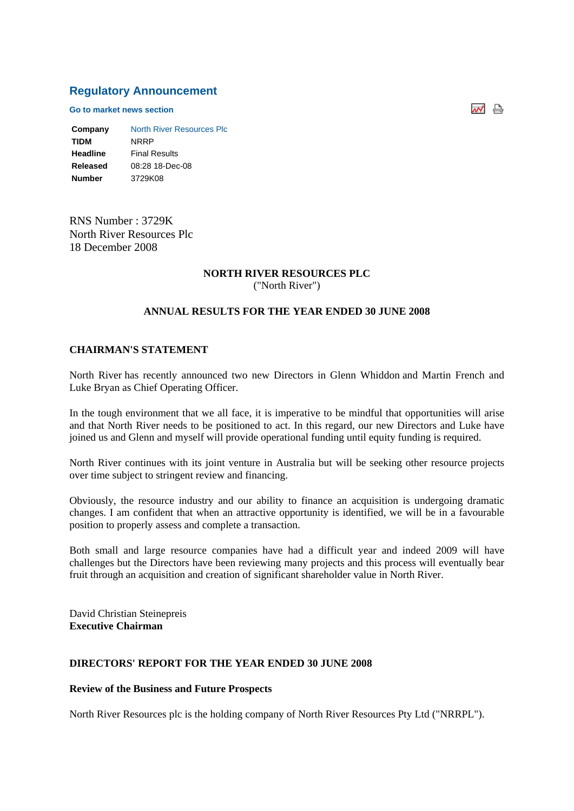# **Regulatory Announcement**

**Go to market news section**

**Company** North River Resources Plc **TIDM** NRRP **Headline** Final Results **Released** 08:28 18-Dec-08 **Number** 3729K08

RNS Number : 3729K North River Resources Plc 18 December 2008

# **NORTH RIVER RESOURCES PLC**

("North River")

#### **ANNUAL RESULTS FOR THE YEAR ENDED 30 JUNE 2008**

#### **CHAIRMAN'S STATEMENT**

North River has recently announced two new Directors in Glenn Whiddon and Martin French and Luke Bryan as Chief Operating Officer.

In the tough environment that we all face, it is imperative to be mindful that opportunities will arise and that North River needs to be positioned to act. In this regard, our new Directors and Luke have joined us and Glenn and myself will provide operational funding until equity funding is required.

North River continues with its joint venture in Australia but will be seeking other resource projects over time subject to stringent review and financing.

Obviously, the resource industry and our ability to finance an acquisition is undergoing dramatic changes. I am confident that when an attractive opportunity is identified, we will be in a favourable position to properly assess and complete a transaction.

Both small and large resource companies have had a difficult year and indeed 2009 will have challenges but the Directors have been reviewing many projects and this process will eventually bear fruit through an acquisition and creation of significant shareholder value in North River.

David Christian Steinepreis **Executive Chairman**

## **DIRECTORS' REPORT FOR THE YEAR ENDED 30 JUNE 2008**

#### **Review of the Business and Future Prospects**

North River Resources plc is the holding company of North River Resources Pty Ltd ("NRRPL").

써 습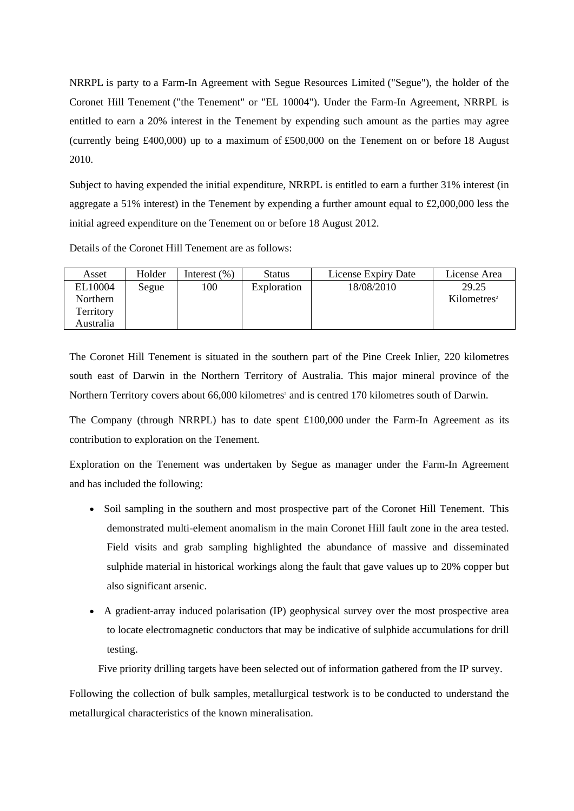NRRPL is party to a Farm-In Agreement with Segue Resources Limited ("Segue"), the holder of the Coronet Hill Tenement ("the Tenement" or "EL 10004"). Under the Farm-In Agreement, NRRPL is entitled to earn a 20% interest in the Tenement by expending such amount as the parties may agree (currently being £400,000) up to a maximum of £500,000 on the Tenement on or before 18 August 2010.

Subject to having expended the initial expenditure, NRRPL is entitled to earn a further 31% interest (in aggregate a 51% interest) in the Tenement by expending a further amount equal to £2,000,000 less the initial agreed expenditure on the Tenement on or before 18 August 2012.

Details of the Coronet Hill Tenement are as follows:

| Asset     | Holder | Interest $(\% )$ | <b>Status</b> | License Expiry Date | License Area            |
|-----------|--------|------------------|---------------|---------------------|-------------------------|
| EL10004   | Segue  | 100              | Exploration   | 18/08/2010          | 29.25                   |
| Northern  |        |                  |               |                     | Kilometers <sup>2</sup> |
| Territory |        |                  |               |                     |                         |
| Australia |        |                  |               |                     |                         |

The Coronet Hill Tenement is situated in the southern part of the Pine Creek Inlier, 220 kilometres south east of Darwin in the Northern Territory of Australia. This major mineral province of the Northern Territory covers about 66,000 kilometres<sup>2</sup> and is centred 170 kilometres south of Darwin.

The Company (through NRRPL) has to date spent £100,000 under the Farm-In Agreement as its contribution to exploration on the Tenement.

Exploration on the Tenement was undertaken by Segue as manager under the Farm-In Agreement and has included the following:

- Soil sampling in the southern and most prospective part of the Coronet Hill Tenement. This demonstrated multi-element anomalism in the main Coronet Hill fault zone in the area tested. Field visits and grab sampling highlighted the abundance of massive and disseminated sulphide material in historical workings along the fault that gave values up to 20% copper but also significant arsenic.
- A gradient-array induced polarisation (IP) geophysical survey over the most prospective area to locate electromagnetic conductors that may be indicative of sulphide accumulations for drill testing.

Five priority drilling targets have been selected out of information gathered from the IP survey.

Following the collection of bulk samples, metallurgical testwork is to be conducted to understand the metallurgical characteristics of the known mineralisation.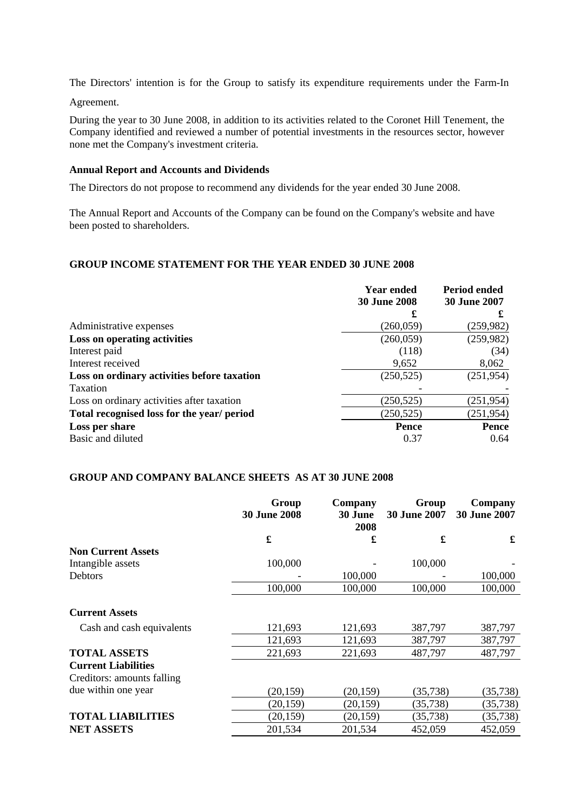The Directors' intention is for the Group to satisfy its expenditure requirements under the Farm-In

Agreement.

During the year to 30 June 2008, in addition to its activities related to the Coronet Hill Tenement, the Company identified and reviewed a number of potential investments in the resources sector, however none met the Company's investment criteria.

#### **Annual Report and Accounts and Dividends**

The Directors do not propose to recommend any dividends for the year ended 30 June 2008.

The Annual Report and Accounts of the Company can be found on the Company's website and have been posted to shareholders.

#### **GROUP INCOME STATEMENT FOR THE YEAR ENDED 30 JUNE 2008**

|                                             | <b>Year ended</b>   | <b>Period ended</b> |  |
|---------------------------------------------|---------------------|---------------------|--|
|                                             | <b>30 June 2008</b> | <b>30 June 2007</b> |  |
|                                             | £                   |                     |  |
| Administrative expenses                     | (260, 059)          | (259, 982)          |  |
| Loss on operating activities                | (260, 059)          | (259,982)           |  |
| Interest paid                               | (118)               | (34)                |  |
| Interest received                           | 9,652               | 8,062               |  |
| Loss on ordinary activities before taxation | (250, 525)          | (251, 954)          |  |
| Taxation                                    |                     |                     |  |
| Loss on ordinary activities after taxation  | (250, 525)          | (251, 954)          |  |
| Total recognised loss for the year/ period  | (250, 525)          | (251, 954)          |  |
| Loss per share                              | Pence               | <b>Pence</b>        |  |
| Basic and diluted                           | 0.37                | 0.64                |  |

#### **GROUP AND COMPANY BALANCE SHEETS AS AT 30 JUNE 2008**

|                            | Group<br><b>30 June 2008</b> | Company<br>30 June<br>2008 | Group<br><b>30 June 2007</b> | Company<br><b>30 June 2007</b> |  |
|----------------------------|------------------------------|----------------------------|------------------------------|--------------------------------|--|
|                            | £                            | £                          | £                            | £                              |  |
| <b>Non Current Assets</b>  |                              |                            |                              |                                |  |
| Intangible assets          | 100,000                      |                            | 100,000                      |                                |  |
| <b>Debtors</b>             |                              | 100,000                    |                              | 100,000                        |  |
|                            | 100,000                      | 100,000                    | 100,000                      | 100,000                        |  |
| <b>Current Assets</b>      |                              |                            |                              |                                |  |
| Cash and cash equivalents  | 121,693                      | 121,693                    | 387,797                      | 387,797                        |  |
|                            | 121,693                      | 121,693                    | 387,797                      | 387,797                        |  |
| <b>TOTAL ASSETS</b>        | 221,693                      | 221,693                    | 487,797                      | 487,797                        |  |
| <b>Current Liabilities</b> |                              |                            |                              |                                |  |
| Creditors: amounts falling |                              |                            |                              |                                |  |
| due within one year        | (20, 159)                    | (20, 159)                  | (35, 738)                    | (35, 738)                      |  |
|                            | (20, 159)                    | (20, 159)                  | (35, 738)                    | (35, 738)                      |  |
| <b>TOTAL LIABILITIES</b>   | (20, 159)                    | (20, 159)                  | (35, 738)                    | (35, 738)                      |  |
| <b>NET ASSETS</b>          | 201,534                      | 201,534                    | 452,059                      | 452,059                        |  |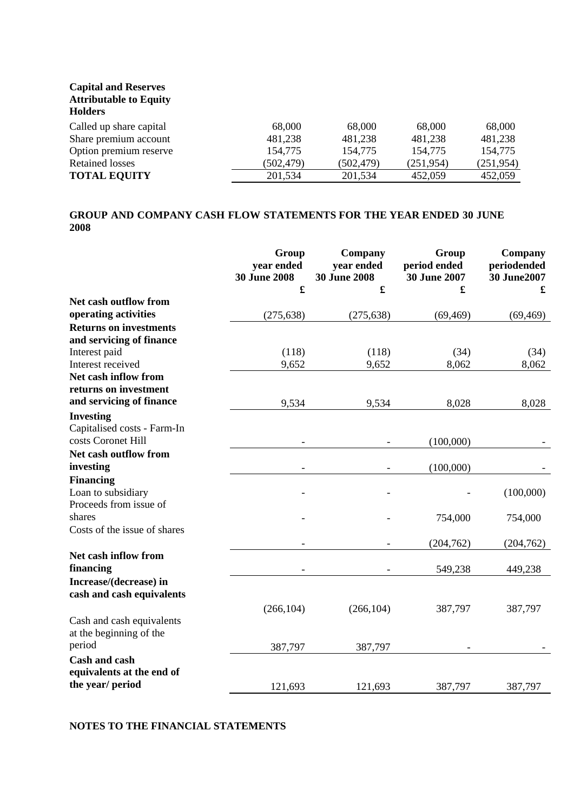# **Capital and Reserves Attributable to Equity Holders** Called up share capital 68,000 68,000 68,000 68,000 68,000 Share premium account 481,238 481,238 481,238 481,238 Option premium reserve 154,775 154,775 154,775 154,775 Retained losses (502,479) (502,479) (251,954) (251,954) **TOTAL EQUITY** 201,534 201,534 452,059 452,059

## **GROUP AND COMPANY CASH FLOW STATEMENTS FOR THE YEAR ENDED 30 JUNE 2008**

|                                                      | Group<br>year ended<br><b>30 June 2008</b> | Company<br>year ended<br><b>30 June 2008</b> | Group<br>period ended<br>30 June 2007 | Company<br>periodended<br>30 June2007 |
|------------------------------------------------------|--------------------------------------------|----------------------------------------------|---------------------------------------|---------------------------------------|
|                                                      | £                                          | £                                            | £                                     | £                                     |
| Net cash outflow from                                |                                            |                                              |                                       |                                       |
| operating activities                                 | (275, 638)                                 | (275, 638)                                   | (69, 469)                             | (69, 469)                             |
| <b>Returns on investments</b>                        |                                            |                                              |                                       |                                       |
| and servicing of finance                             |                                            |                                              |                                       |                                       |
| Interest paid                                        | (118)                                      | (118)                                        | (34)                                  | (34)                                  |
| Interest received                                    | 9,652                                      | 9,652                                        | 8,062                                 | 8,062                                 |
| Net cash inflow from<br>returns on investment        |                                            |                                              |                                       |                                       |
| and servicing of finance                             | 9,534                                      | 9,534                                        | 8,028                                 | 8,028                                 |
| <b>Investing</b>                                     |                                            |                                              |                                       |                                       |
| Capitalised costs - Farm-In<br>costs Coronet Hill    |                                            |                                              | (100,000)                             |                                       |
| Net cash outflow from                                |                                            |                                              |                                       |                                       |
| investing                                            |                                            |                                              | (100,000)                             |                                       |
| <b>Financing</b>                                     |                                            |                                              |                                       |                                       |
| Loan to subsidiary                                   |                                            |                                              |                                       | (100,000)                             |
| Proceeds from issue of                               |                                            |                                              |                                       |                                       |
| shares                                               |                                            |                                              | 754,000                               | 754,000                               |
| Costs of the issue of shares                         |                                            |                                              |                                       |                                       |
|                                                      |                                            |                                              | (204, 762)                            | (204, 762)                            |
| Net cash inflow from<br>financing                    |                                            |                                              | 549,238                               | 449,238                               |
| Increase/(decrease) in<br>cash and cash equivalents  |                                            |                                              |                                       |                                       |
|                                                      | (266, 104)                                 | (266, 104)                                   | 387,797                               | 387,797                               |
| Cash and cash equivalents<br>at the beginning of the |                                            |                                              |                                       |                                       |
| period                                               | 387,797                                    | 387,797                                      |                                       |                                       |
| <b>Cash and cash</b>                                 |                                            |                                              |                                       |                                       |
| equivalents at the end of                            |                                            |                                              |                                       |                                       |
| the year/ period                                     | 121,693                                    | 121,693                                      | 387,797                               | 387,797                               |

## **NOTES TO THE FINANCIAL STATEMENTS**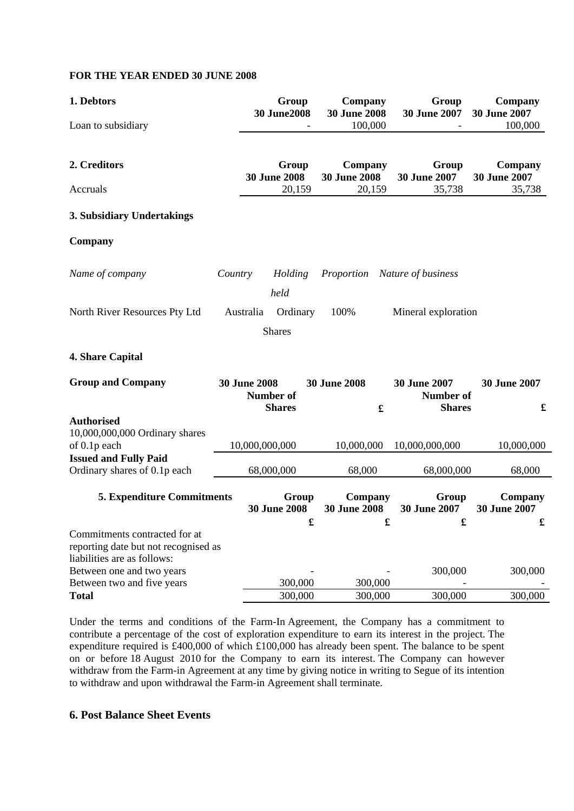#### **FOR THE YEAR ENDED 30 JUNE 2008**

| 1. Debtors                                                          |         |                                   | Group<br><b>30 June2008</b> | Company<br><b>30 June 2008</b> |              | Group<br><b>30 June 2007</b>  | Company<br><b>30 June 2007</b> |
|---------------------------------------------------------------------|---------|-----------------------------------|-----------------------------|--------------------------------|--------------|-------------------------------|--------------------------------|
| Loan to subsidiary                                                  |         |                                   |                             | 100,000                        |              |                               | 100,000                        |
| 2. Creditors                                                        |         | Group<br><b>30 June 2008</b>      |                             | Company<br><b>30 June 2008</b> |              | Group<br><b>30 June 2007</b>  | Company<br>30 June 2007        |
| Accruals                                                            |         |                                   | 20,159                      | 20,159                         |              | 35,738                        | 35,738                         |
| 3. Subsidiary Undertakings                                          |         |                                   |                             |                                |              |                               |                                |
| <b>Company</b>                                                      |         |                                   |                             |                                |              |                               |                                |
| Name of company                                                     | Country |                                   | Holding                     |                                |              | Proportion Nature of business |                                |
|                                                                     |         |                                   | held                        |                                |              |                               |                                |
| North River Resources Pty Ltd                                       |         | Australia                         | Ordinary                    | 100%                           |              | Mineral exploration           |                                |
|                                                                     |         |                                   | <b>Shares</b>               |                                |              |                               |                                |
| 4. Share Capital                                                    |         |                                   |                             |                                |              |                               |                                |
| <b>Group and Company</b>                                            |         | <b>30 June 2008</b>               |                             | <b>30 June 2008</b>            |              | 30 June 2007                  | 30 June 2007                   |
|                                                                     |         | <b>Number of</b><br><b>Shares</b> |                             | £                              |              | Number of<br><b>Shares</b>    | £                              |
| <b>Authorised</b><br>10,000,000,000 Ordinary shares                 |         |                                   |                             |                                |              |                               |                                |
| of 0.1p each                                                        |         | 10,000,000,000                    |                             | 10,000,000                     |              | 10,000,000,000                | 10,000,000                     |
| <b>Issued and Fully Paid</b><br>Ordinary shares of 0.1p each        |         | 68,000,000                        |                             | 68,000                         |              | 68,000,000                    | 68,000                         |
| <b>5. Expenditure Commitments</b>                                   |         | Group<br><b>30 June 2008</b>      |                             | Company<br><b>30 June 2008</b> |              | Group<br><b>30 June 2007</b>  | Company<br>30 June 2007        |
| Commitments contracted for at                                       |         |                                   | $\mathbf f$                 |                                | $\mathbf{f}$ | $\mathbf{f}$                  |                                |
| reporting date but not recognised as<br>liabilities are as follows: |         |                                   |                             |                                |              |                               |                                |
| Between one and two years                                           |         |                                   |                             |                                |              | 300,000                       | 300,000                        |
| Between two and five years                                          |         | 300,000                           |                             | 300,000<br>300,000             |              |                               |                                |
| <b>Total</b>                                                        |         | 300,000                           |                             |                                |              | 300,000                       | 300,000                        |

Under the terms and conditions of the Farm-In Agreement, the Company has a commitment to contribute a percentage of the cost of exploration expenditure to earn its interest in the project. The expenditure required is £400,000 of which £100,000 has already been spent. The balance to be spent on or before 18 August 2010 for the Company to earn its interest. The Company can however withdraw from the Farm-in Agreement at any time by giving notice in writing to Segue of its intention to withdraw and upon withdrawal the Farm-in Agreement shall terminate.

# **6. Post Balance Sheet Events**